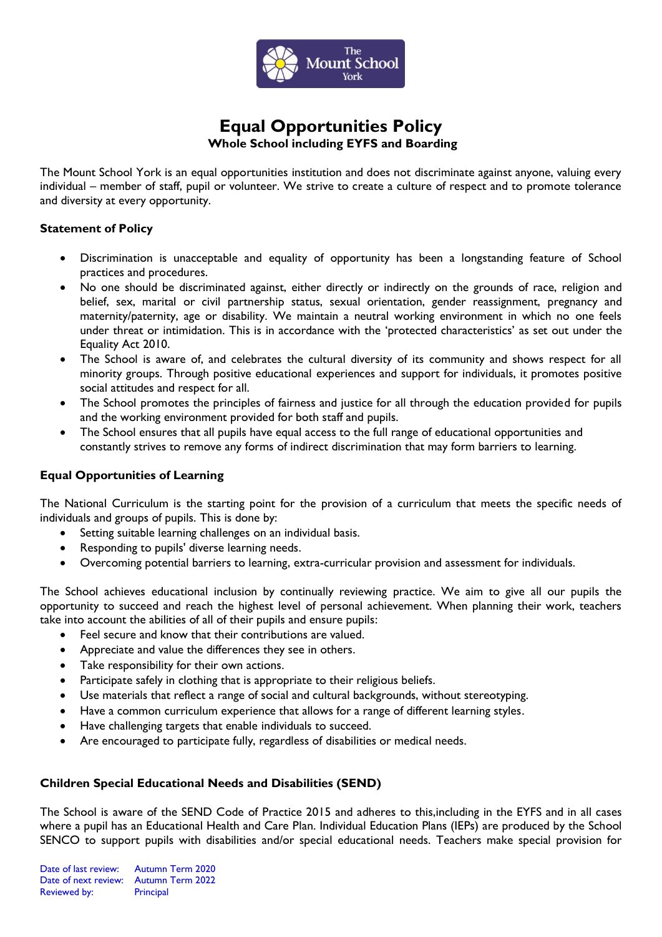

# **Equal Opportunities Policy Whole School including EYFS and Boarding**

The Mount School York is an equal opportunities institution and does not discriminate against anyone, valuing every individual – member of staff, pupil or volunteer. We strive to create a culture of respect and to promote tolerance and diversity at every opportunity.

### **Statement of Policy**

- Discrimination is unacceptable and equality of opportunity has been a longstanding feature of School practices and procedures.
- No one should be discriminated against, either directly or indirectly on the grounds of race, religion and belief, sex, marital or civil partnership status, sexual orientation, gender reassignment, pregnancy and maternity/paternity, age or disability. We maintain a neutral working environment in which no one feels under threat or intimidation. This is in accordance with the 'protected characteristics' as set out under the Equality Act 2010.
- The School is aware of, and celebrates the cultural diversity of its community and shows respect for all minority groups. Through positive educational experiences and support for individuals, it promotes positive social attitudes and respect for all.
- The School promotes the principles of fairness and justice for all through the education provided for pupils and the working environment provided for both staff and pupils.
- The School ensures that all pupils have equal access to the full range of educational opportunities and constantly strives to remove any forms of indirect discrimination that may form barriers to learning.

## **Equal Opportunities of Learning**

The National Curriculum is the starting point for the provision of a curriculum that meets the specific needs of individuals and groups of pupils. This is done by:

- Setting suitable learning challenges on an individual basis.
- Responding to pupils' diverse learning needs.
- Overcoming potential barriers to learning, extra-curricular provision and assessment for individuals.

The School achieves educational inclusion by continually reviewing practice. We aim to give all our pupils the opportunity to succeed and reach the highest level of personal achievement. When planning their work, teachers take into account the abilities of all of their pupils and ensure pupils:

- Feel secure and know that their contributions are valued.
- Appreciate and value the differences they see in others.
- Take responsibility for their own actions.
- Participate safely in clothing that is appropriate to their religious beliefs.
- Use materials that reflect a range of social and cultural backgrounds, without stereotyping.
- Have a common curriculum experience that allows for a range of different learning styles.
- Have challenging targets that enable individuals to succeed.
- Are encouraged to participate fully, regardless of disabilities or medical needs.

## **Children Special Educational Needs and Disabilities (SEND)**

The School is aware of the SEND Code of Practice 2015 and adheres to this,including in the EYFS and in all cases where a pupil has an Educational Health and Care Plan. Individual Education Plans (IEPs) are produced by the School SENCO to support pupils with disabilities and/or special educational needs. Teachers make special provision for

Date of last review: Autumn Term 2020 Date of next review: Autumn Term 2022 Reviewed by: Principal